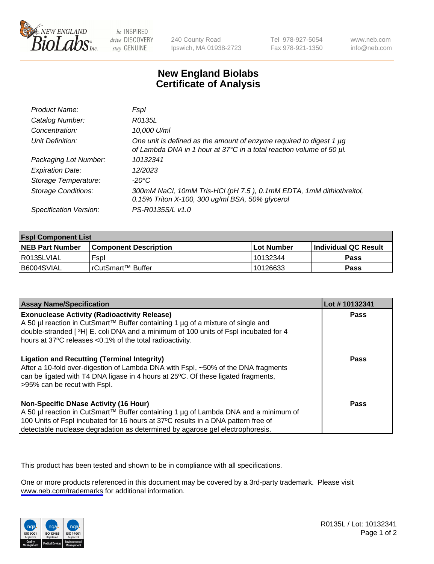

be INSPIRED drive DISCOVERY stay GENUINE

240 County Road Ipswich, MA 01938-2723 Tel 978-927-5054 Fax 978-921-1350

www.neb.com info@neb.com

## **New England Biolabs Certificate of Analysis**

| Product Name:              | Fspl                                                                                                                                        |
|----------------------------|---------------------------------------------------------------------------------------------------------------------------------------------|
| Catalog Number:            | R0135L                                                                                                                                      |
| Concentration:             | 10,000 U/ml                                                                                                                                 |
| Unit Definition:           | One unit is defined as the amount of enzyme required to digest 1 µg<br>of Lambda DNA in 1 hour at 37°C in a total reaction volume of 50 µl. |
| Packaging Lot Number:      | 10132341                                                                                                                                    |
| <b>Expiration Date:</b>    | 12/2023                                                                                                                                     |
| Storage Temperature:       | -20°C                                                                                                                                       |
| <b>Storage Conditions:</b> | 300mM NaCl, 10mM Tris-HCl (pH 7.5), 0.1mM EDTA, 1mM dithiothreitol,<br>0.15% Triton X-100, 300 ug/ml BSA, 50% glycerol                      |
| Specification Version:     | PS-R0135S/L v1.0                                                                                                                            |

| <b>Fspl Component List</b> |                              |                   |                       |  |
|----------------------------|------------------------------|-------------------|-----------------------|--|
| <b>NEB Part Number</b>     | <b>Component Description</b> | <b>Lot Number</b> | ∣Individual QC Result |  |
| R0135LVIAL                 | Fspl                         | 10132344          | <b>Pass</b>           |  |
| B6004SVIAL                 | l rCutSmart™ Buffer          | 10126633          | Pass                  |  |

| <b>Assay Name/Specification</b>                                                                                                                                                                                                                                                                           | Lot #10132341 |
|-----------------------------------------------------------------------------------------------------------------------------------------------------------------------------------------------------------------------------------------------------------------------------------------------------------|---------------|
| <b>Exonuclease Activity (Radioactivity Release)</b><br>A 50 µl reaction in CutSmart™ Buffer containing 1 µg of a mixture of single and<br>double-stranded [3H] E. coli DNA and a minimum of 100 units of Fspl incubated for 4<br>hours at 37°C releases <0.1% of the total radioactivity.                 | Pass          |
| <b>Ligation and Recutting (Terminal Integrity)</b><br>After a 10-fold over-digestion of Lambda DNA with Fspl, ~50% of the DNA fragments<br>can be ligated with T4 DNA ligase in 4 hours at 25°C. Of these ligated fragments,<br>>95% can be recut with Fspl.                                              | Pass          |
| <b>Non-Specific DNase Activity (16 Hour)</b><br>A 50 µl reaction in CutSmart™ Buffer containing 1 µg of Lambda DNA and a minimum of<br>100 Units of Fspl incubated for 16 hours at 37°C results in a DNA pattern free of<br>detectable nuclease degradation as determined by agarose gel electrophoresis. | Pass          |

This product has been tested and shown to be in compliance with all specifications.

One or more products referenced in this document may be covered by a 3rd-party trademark. Please visit <www.neb.com/trademarks>for additional information.